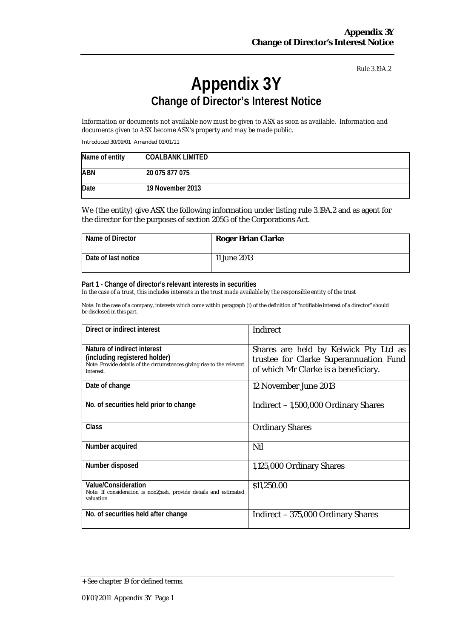# **Appendix 3Y Change of Director's Interest Notice**

Information or documents not available now must be given to ASX as soon as available. Information and *documents given to ASX become ASX's property and may be made public.*

Introduced 30/09/01 Amended 01/01/11

| Name of entity | <b>COALBANK LIMITED</b> |
|----------------|-------------------------|
| <b>ABN</b>     | 20 075 877 075          |
| Date           | 19 November 2013        |

We (the entity) give ASX the following information under listing rule 3.19A.2 and as agent for the director for the purposes of section 205G of the Corporations Act.

| Name of Director    | <b>Roger Brian Clarke</b> |
|---------------------|---------------------------|
| Date of last notice | 11 June 2013              |

**Part 1 - Change of director's relevant interests in securities**

In the case of a trust, this includes interests in the trust made available by the responsible entity of the trust

| Direct or indirect interest                                                                                                                         | <b>Indirect</b>                                                                                                         |
|-----------------------------------------------------------------------------------------------------------------------------------------------------|-------------------------------------------------------------------------------------------------------------------------|
| Nature of indirect interest<br>(including registered holder)<br>Note: Provide details of the circumstances giving rise to the relevant<br>interest. | Shares are held by Kelwick Pty Ltd as<br>trustee for Clarke Superannuation Fund<br>of which Mr Clarke is a beneficiary. |
| Date of change                                                                                                                                      | 12 November June 2013                                                                                                   |
| No. of securities held prior to change                                                                                                              | Indirect - 1,500,000 Ordinary Shares                                                                                    |
| Class                                                                                                                                               | <b>Ordinary Shares</b>                                                                                                  |
| Number acquired                                                                                                                                     | Nil                                                                                                                     |
| Number disposed                                                                                                                                     | 1,125,000 Ordinary Shares                                                                                               |
| <b>Value/Consideration</b><br>Note: If consideration is non cash, provide details and estimated<br>valuation                                        | \$11,250.00                                                                                                             |
| No. of securities held after change                                                                                                                 | Indirect – 375,000 Ordinary Shares                                                                                      |

<sup>+</sup> See chapter 19 for defined terms.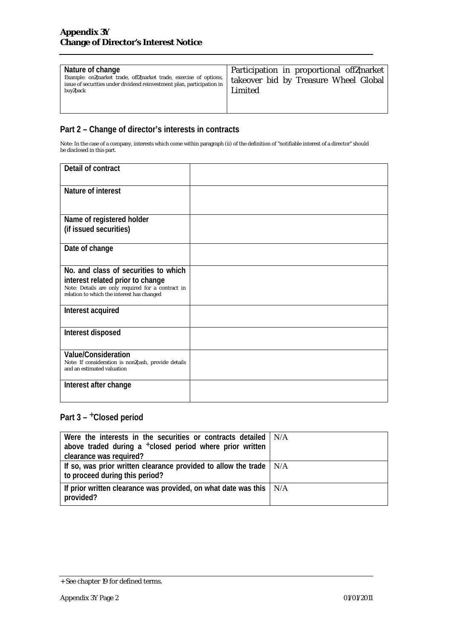| Nature of change<br>Example: on market trade, off market trade, exercise of options,<br>issue of securities under dividend reinvestment plan, participation in<br>buy back | Participation in proportional off market<br>takeover bid by Treasure Wheel Global<br>Limited |
|----------------------------------------------------------------------------------------------------------------------------------------------------------------------------|----------------------------------------------------------------------------------------------|
|                                                                                                                                                                            |                                                                                              |

Note: In the case of a company, interests which come within paragraph (ii) of the definition of "notifiable interest of a director" should be disclosed in this part.

| Detail of contract                                                                                                                                                          |  |
|-----------------------------------------------------------------------------------------------------------------------------------------------------------------------------|--|
| Nature of interest                                                                                                                                                          |  |
| Name of registered holder<br>(if issued securities)                                                                                                                         |  |
| Date of change                                                                                                                                                              |  |
| No. and class of securities to which<br>interest related prior to change<br>Note: Details are only required for a contract in<br>relation to which the interest has changed |  |
| Interest acquired                                                                                                                                                           |  |
| Interest disposed                                                                                                                                                           |  |
| <b>Value/Consideration</b><br>Note: If consideration is non cash, provide details<br>and an estimated valuation                                                             |  |
| Interest after change                                                                                                                                                       |  |

| Were the interests in the securities or contracts detailed   N/A<br>above traded during a <sup>+</sup> closed period where prior written |  |
|------------------------------------------------------------------------------------------------------------------------------------------|--|
| clearance was required?                                                                                                                  |  |
| If so, was prior written clearance provided to allow the trade $  N/A$<br>to proceed during this period?                                 |  |
| If prior written clearance was provided, on what date was this $ N/A $<br>provided?                                                      |  |

<sup>+</sup> See chapter 19 for defined terms.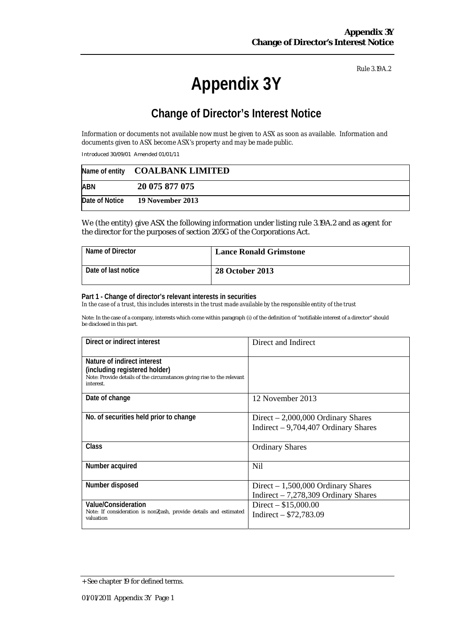# **Appendix 3Y**

## **Change of Director's Interest Notice**

Information or documents not available now must be given to ASX as soon as available. Information and *documents given to ASX become ASX's property and may be made public.*

Introduced 30/09/01 Amended 01/01/11

|     | Name of entity COALBANK LIMITED |
|-----|---------------------------------|
| ABN | 20 075 877 075                  |
|     | Date of Notice 19 November 2013 |

We (the entity) give ASX the following information under listing rule 3.19A.2 and as agent for the director for the purposes of section 205G of the Corporations Act.

| Name of Director    | <b>Lance Ronald Grimstone</b> |
|---------------------|-------------------------------|
| Date of last notice | <b>28 October 2013</b>        |

#### **Part 1 - Change of director's relevant interests in securities**

In the case of a trust, this includes interests in the trust made available by the responsible entity of the trust

| Direct or indirect interest                                                    | Direct and Indirect                   |
|--------------------------------------------------------------------------------|---------------------------------------|
| Nature of indirect interest                                                    |                                       |
| (including registered holder)                                                  |                                       |
| Note: Provide details of the circumstances giving rise to the relevant         |                                       |
| interest.                                                                      |                                       |
| Date of change                                                                 | 12 November 2013                      |
|                                                                                |                                       |
| No. of securities held prior to change                                         | Direct $-2,000,000$ Ordinary Shares   |
|                                                                                | Indirect $-9,704,407$ Ordinary Shares |
|                                                                                |                                       |
| <b>Class</b>                                                                   | <b>Ordinary Shares</b>                |
|                                                                                |                                       |
| Number acquired                                                                | Nil                                   |
|                                                                                |                                       |
| Number disposed                                                                | Direct $-1,500,000$ Ordinary Shares   |
|                                                                                | Indirect $-7,278,309$ Ordinary Shares |
| Value/Consideration                                                            | Direct $-$ \$15,000.00                |
| Note: If consideration is non cash, provide details and estimated<br>valuation | Indirect $- $72,783.09$               |
|                                                                                |                                       |

<sup>+</sup> See chapter 19 for defined terms.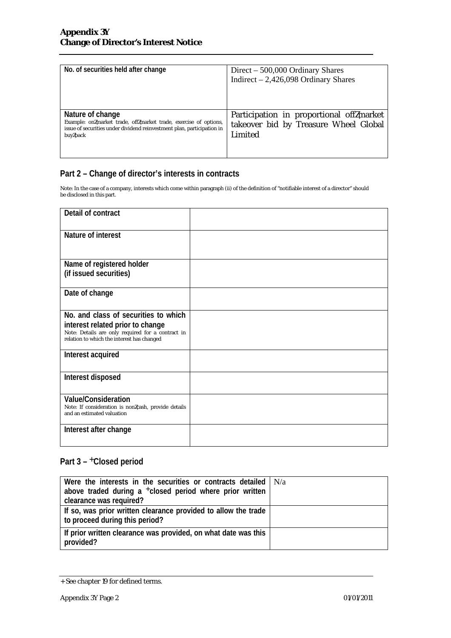| No. of securities held after change                                                                                                                                        | $Direct - 500,000$ Ordinary Shares<br>Indirect $-2,426,098$ Ordinary Shares                  |
|----------------------------------------------------------------------------------------------------------------------------------------------------------------------------|----------------------------------------------------------------------------------------------|
| Nature of change<br>Example: on market trade, off market trade, exercise of options,<br>issue of securities under dividend reinvestment plan, participation in<br>buy back | Participation in proportional off market<br>takeover bid by Treasure Wheel Global<br>Limited |

Note: In the case of a company, interests which come within paragraph (ii) of the definition of "notifiable interest of a director" should be disclosed in this part.

| Detail of contract                                                                                                                                                          |  |
|-----------------------------------------------------------------------------------------------------------------------------------------------------------------------------|--|
| Nature of interest                                                                                                                                                          |  |
| Name of registered holder<br>(if issued securities)                                                                                                                         |  |
| Date of change                                                                                                                                                              |  |
| No. and class of securities to which<br>interest related prior to change<br>Note: Details are only required for a contract in<br>relation to which the interest has changed |  |
| Interest acquired                                                                                                                                                           |  |
| Interest disposed                                                                                                                                                           |  |
| <b>Value/Consideration</b><br>Note: If consideration is non cash, provide details<br>and an estimated valuation                                                             |  |
| Interest after change                                                                                                                                                       |  |

| Were the interests in the securities or contracts detailed $\vert$ N/a<br>above traded during a $+$ closed period where prior written<br>clearance was required? |  |
|------------------------------------------------------------------------------------------------------------------------------------------------------------------|--|
| If so, was prior written clearance provided to allow the trade<br>to proceed during this period?                                                                 |  |
| If prior written clearance was provided, on what date was this<br>provided?                                                                                      |  |

<sup>+</sup> See chapter 19 for defined terms.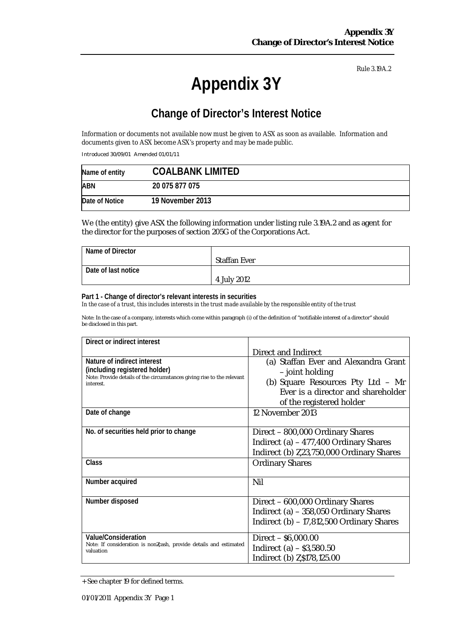# **Appendix 3Y**

## **Change of Director's Interest Notice**

Information or documents not available now must be given to ASX as soon as available. Information and *documents given to ASX become ASX's property and may be made public.*

Introduced 30/09/01 Amended 01/01/11

| Name of entity | <b>COALBANK LIMITED</b> |
|----------------|-------------------------|
| <b>ABN</b>     | 20 075 877 075          |
| Date of Notice | 19 November 2013        |

We (the entity) give ASX the following information under listing rule 3.19A.2 and as agent for the director for the purposes of section 205G of the Corporations Act.

| Name of Director    |                     |
|---------------------|---------------------|
|                     | <b>Staffan Ever</b> |
| Date of last notice |                     |
|                     | 4 July 2012         |

#### **Part 1 - Change of director's relevant interests in securities**

In the case of a trust, this includes interests in the trust made available by the responsible entity of the trust

| Direct or indirect interest                                                         |                                           |
|-------------------------------------------------------------------------------------|-------------------------------------------|
|                                                                                     | <b>Direct and Indirect</b>                |
| Nature of indirect interest                                                         | (a) Staffan Ever and Alexandra Grant      |
| (including registered holder)                                                       | - joint holding                           |
| Note: Provide details of the circumstances giving rise to the relevant<br>interest. | (b) Square Resources Pty Ltd - Mr         |
|                                                                                     | Ever is a director and shareholder        |
|                                                                                     | of the registered holder                  |
| Date of change                                                                      | 12 November 2013                          |
|                                                                                     |                                           |
| No. of securities held prior to change                                              | Direct - 800,000 Ordinary Shares          |
|                                                                                     | Indirect (a) - 477,400 Ordinary Shares    |
|                                                                                     | Indirect (b) 23,750,000 Ordinary Shares   |
| Class                                                                               | <b>Ordinary Shares</b>                    |
|                                                                                     |                                           |
| Number acquired                                                                     | Nil                                       |
|                                                                                     |                                           |
| Number disposed                                                                     | Direct - 600,000 Ordinary Shares          |
|                                                                                     | Indirect (a) - 358,050 Ordinary Shares    |
|                                                                                     | Indirect (b) - 17,812,500 Ordinary Shares |
|                                                                                     |                                           |
| Value/Consideration                                                                 | $Direct - $6,000.00$                      |
| Note: If consideration is non cash, provide details and estimated<br>valuation      | Indirect (a) $-$ \$3,580.50               |
|                                                                                     | Indirect (b) \$178,125.00                 |

<sup>+</sup> See chapter 19 for defined terms.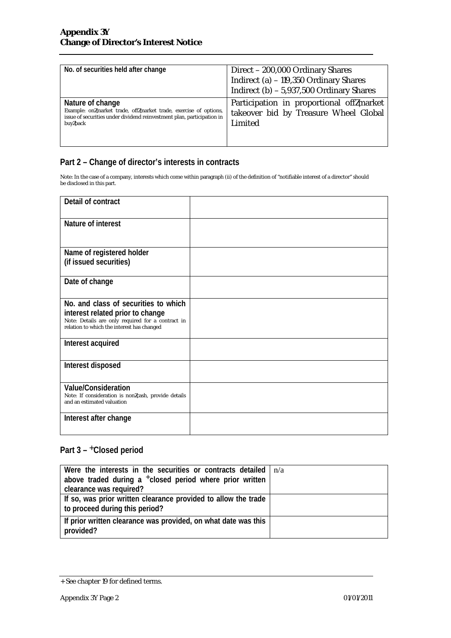| No. of securities held after change                                                                                                                                        | Direct - 200,000 Ordinary Shares<br>Indirect (a) - 119,350 Ordinary Shares<br>Indirect $(b)$ – 5,937,500 Ordinary Shares |
|----------------------------------------------------------------------------------------------------------------------------------------------------------------------------|--------------------------------------------------------------------------------------------------------------------------|
| Nature of change<br>Example: on market trade, off market trade, exercise of options,<br>issue of securities under dividend reinvestment plan, participation in<br>buy back | Participation in proportional off market<br>takeover bid by Treasure Wheel Global<br>Limited                             |

Note: In the case of a company, interests which come within paragraph (ii) of the definition of "notifiable interest of a director" should be disclosed in this part.

| Detail of contract                                                                                                                                                          |  |
|-----------------------------------------------------------------------------------------------------------------------------------------------------------------------------|--|
| Nature of interest                                                                                                                                                          |  |
| Name of registered holder<br>(if issued securities)                                                                                                                         |  |
| Date of change                                                                                                                                                              |  |
| No. and class of securities to which<br>interest related prior to change<br>Note: Details are only required for a contract in<br>relation to which the interest has changed |  |
| Interest acquired                                                                                                                                                           |  |
| Interest disposed                                                                                                                                                           |  |
| Value/Consideration<br>Note: If consideration is non cash, provide details<br>and an estimated valuation                                                                    |  |
| Interest after change                                                                                                                                                       |  |

| Were the interests in the securities or contracts detailed $\ln/a$<br>above traded during a $+$ closed period where prior written<br>clearance was required? |  |
|--------------------------------------------------------------------------------------------------------------------------------------------------------------|--|
| If so, was prior written clearance provided to allow the trade<br>to proceed during this period?                                                             |  |
| If prior written clearance was provided, on what date was this<br>provided?                                                                                  |  |

<sup>+</sup> See chapter 19 for defined terms.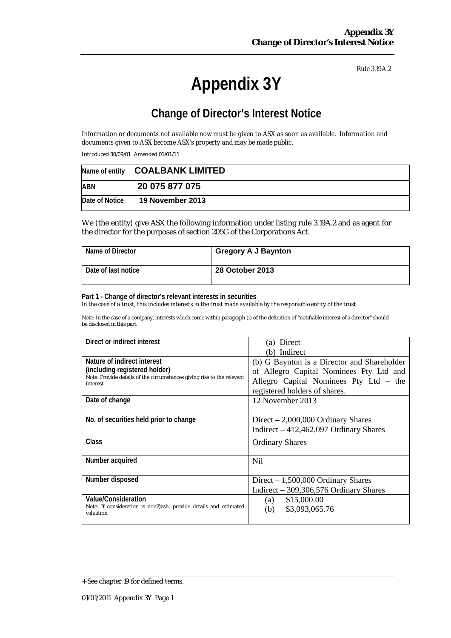# **Appendix 3Y**

## **Change of Director's Interest Notice**

Information or documents not available now must be given to ASX as soon as available. Information and *documents given to ASX become ASX's property and may be made public.*

Introduced 30/09/01 Amended 01/01/11

|                | Name of entity COALBANK LIMITED |  |
|----------------|---------------------------------|--|
| <b>ABN</b>     | 20 075 877 075                  |  |
| Date of Notice | <b>19 November 2013</b>         |  |

We (the entity) give ASX the following information under listing rule 3.19A.2 and as agent for the director for the purposes of section 205G of the Corporations Act.

| Name of Director    | <b>Gregory A J Baynton</b> |
|---------------------|----------------------------|
| Date of last notice | <b>28 October 2013</b>     |

#### **Part 1 - Change of director's relevant interests in securities**

In the case of a trust, this includes interests in the trust made available by the responsible entity of the trust

| Direct or indirect interest                                                         | (a) Direct                                  |  |
|-------------------------------------------------------------------------------------|---------------------------------------------|--|
|                                                                                     | (b) Indirect                                |  |
| Nature of indirect interest                                                         | (b) G Baynton is a Director and Shareholder |  |
| (including registered holder)                                                       | of Allegro Capital Nominees Pty Ltd and     |  |
| Note: Provide details of the circumstances giving rise to the relevant<br>interest. | Allegro Capital Nominees Pty Ltd - the      |  |
|                                                                                     | registered holders of shares.               |  |
| Date of change                                                                      | 12 November 2013                            |  |
|                                                                                     |                                             |  |
| No. of securities held prior to change                                              | Direct $-2,000,000$ Ordinary Shares         |  |
|                                                                                     | Indirect $-412,462,097$ Ordinary Shares     |  |
| Class                                                                               | <b>Ordinary Shares</b>                      |  |
|                                                                                     |                                             |  |
| Number acquired                                                                     | N <sub>il</sub>                             |  |
|                                                                                     |                                             |  |
| Number disposed                                                                     | Direct $-1,500,000$ Ordinary Shares         |  |
|                                                                                     | Indirect $-309,306,576$ Ordinary Shares     |  |
| Value/Consideration                                                                 | \$15,000.00<br>(a)                          |  |
| Note: If consideration is non cash, provide details and estimated<br>valuation      | \$3,093,065.76<br>(b)                       |  |
|                                                                                     |                                             |  |

<sup>+</sup> See chapter 19 for defined terms.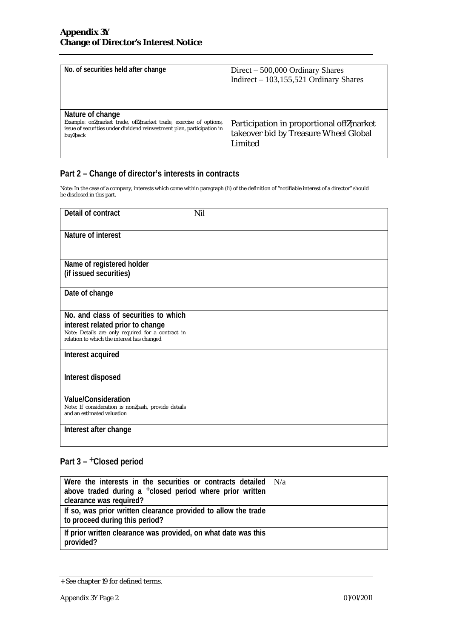| No. of securities held after change                                                                                                                                        | Direct $-500,000$ Ordinary Shares<br>Indirect - 103,155,521 Ordinary Shares                  |
|----------------------------------------------------------------------------------------------------------------------------------------------------------------------------|----------------------------------------------------------------------------------------------|
| Nature of change<br>Example: on market trade, off market trade, exercise of options,<br>issue of securities under dividend reinvestment plan, participation in<br>buy back | Participation in proportional off market<br>takeover bid by Treasure Wheel Global<br>Limited |

Note: In the case of a company, interests which come within paragraph (ii) of the definition of "notifiable interest of a director" should be disclosed in this part.

| Detail of contract                                                                                                                                                          | Nil |
|-----------------------------------------------------------------------------------------------------------------------------------------------------------------------------|-----|
| Nature of interest                                                                                                                                                          |     |
| Name of registered holder<br>(if issued securities)                                                                                                                         |     |
| Date of change                                                                                                                                                              |     |
| No. and class of securities to which<br>interest related prior to change<br>Note: Details are only required for a contract in<br>relation to which the interest has changed |     |
| Interest acquired                                                                                                                                                           |     |
| Interest disposed                                                                                                                                                           |     |
| <b>Value/Consideration</b><br>Note: If consideration is non cash, provide details<br>and an estimated valuation                                                             |     |
| Interest after change                                                                                                                                                       |     |

| Were the interests in the securities or contracts detailed $\vert N/a \rangle$<br>above traded during a $+$ closed period where prior written<br>clearance was required? |  |
|--------------------------------------------------------------------------------------------------------------------------------------------------------------------------|--|
| If so, was prior written clearance provided to allow the trade<br>to proceed during this period?                                                                         |  |
| If prior written clearance was provided, on what date was this<br>provided?                                                                                              |  |

<sup>+</sup> See chapter 19 for defined terms.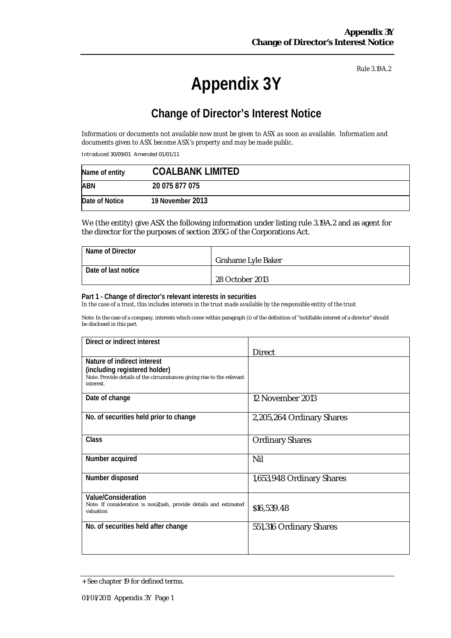# **Appendix 3Y**

## **Change of Director's Interest Notice**

Information or documents not available now must be given to ASX as soon as available. Information and *documents given to ASX become ASX's property and may be made public.*

Introduced 30/09/01 Amended 01/01/11

| Name of entity | <b>COALBANK LIMITED</b> |
|----------------|-------------------------|
| <b>ABN</b>     | 20 075 877 075          |
| Date of Notice | 19 November 2013        |

We (the entity) give ASX the following information under listing rule 3.19A.2 and as agent for the director for the purposes of section 205G of the Corporations Act.

| Name of Director    |                           |
|---------------------|---------------------------|
|                     | <b>Grahame Lyle Baker</b> |
| Date of last notice |                           |
|                     | 28 October 2013           |

#### **Part 1 - Change of director's relevant interests in securities**

In the case of a trust, this includes interests in the trust made available by the responsible entity of the trust

| Direct or indirect interest                                                         |                           |
|-------------------------------------------------------------------------------------|---------------------------|
|                                                                                     | <b>Direct</b>             |
| Nature of indirect interest                                                         |                           |
| (including registered holder)                                                       |                           |
| Note: Provide details of the circumstances giving rise to the relevant<br>interest. |                           |
| Date of change                                                                      | 12 November 2013          |
|                                                                                     |                           |
| No. of securities held prior to change                                              | 2,205,264 Ordinary Shares |
|                                                                                     |                           |
| <b>Class</b>                                                                        | <b>Ordinary Shares</b>    |
|                                                                                     |                           |
| Number acquired                                                                     | Nil                       |
|                                                                                     |                           |
| Number disposed                                                                     | 1,653,948 Ordinary Shares |
| Value/Consideration                                                                 |                           |
| Note: If consideration is non cash, provide details and estimated                   |                           |
| valuation                                                                           | \$16,539.48               |
| No. of securities held after change                                                 | 551,316 Ordinary Shares   |
|                                                                                     |                           |
|                                                                                     |                           |
|                                                                                     |                           |

<sup>+</sup> See chapter 19 for defined terms.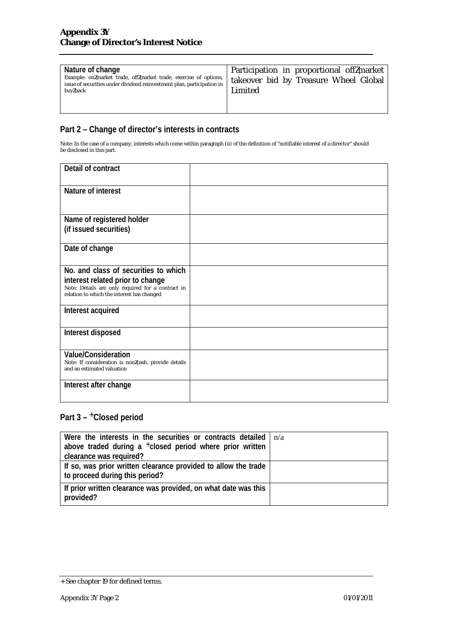| Nature of change<br>Example: on market trade, off market trade, exercise of options,<br>issue of securities under dividend reinvestment plan, participation in<br>buy back | Participation in proportional off market<br>takeover bid by Treasure Wheel Global<br>Limited |
|----------------------------------------------------------------------------------------------------------------------------------------------------------------------------|----------------------------------------------------------------------------------------------|
|                                                                                                                                                                            |                                                                                              |

Note: In the case of a company, interests which come within paragraph (ii) of the definition of "notifiable interest of a director" should be disclosed in this part.

| Detail of contract                                                                                                                                                          |  |
|-----------------------------------------------------------------------------------------------------------------------------------------------------------------------------|--|
| Nature of interest                                                                                                                                                          |  |
| Name of registered holder<br>(if issued securities)                                                                                                                         |  |
| Date of change                                                                                                                                                              |  |
| No. and class of securities to which<br>interest related prior to change<br>Note: Details are only required for a contract in<br>relation to which the interest has changed |  |
| Interest acquired                                                                                                                                                           |  |
| Interest disposed                                                                                                                                                           |  |
| <b>Value/Consideration</b><br>Note: If consideration is non cash, provide details<br>and an estimated valuation                                                             |  |
| Interest after change                                                                                                                                                       |  |

| Were the interests in the securities or contracts detailed $\ln/a$<br>above traded during a $+$ closed period where prior written |  |
|-----------------------------------------------------------------------------------------------------------------------------------|--|
| clearance was required?                                                                                                           |  |
| If so, was prior written clearance provided to allow the trade<br>to proceed during this period?                                  |  |
| If prior written clearance was provided, on what date was this<br>provided?                                                       |  |

<sup>+</sup> See chapter 19 for defined terms.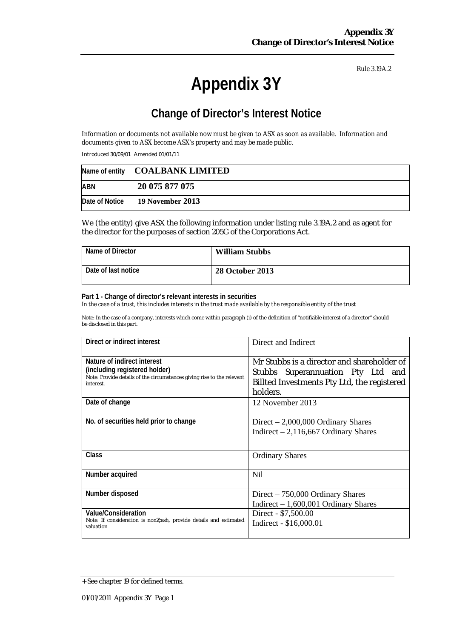# **Appendix 3Y**

## **Change of Director's Interest Notice**

Information or documents not available now must be given to ASX as soon as available. Information and *documents given to ASX become ASX's property and may be made public.*

Introduced 30/09/01 Amended 01/01/11

|            | Name of entity COALBANK LIMITED |
|------------|---------------------------------|
| <b>ABN</b> | 20 075 877 075                  |
|            | Date of Notice 19 November 2013 |

We (the entity) give ASX the following information under listing rule 3.19A.2 and as agent for the director for the purposes of section 205G of the Corporations Act.

| Name of Director    | <b>William Stubbs</b>  |
|---------------------|------------------------|
| Date of last notice | <b>28 October 2013</b> |

#### **Part 1 - Change of director's relevant interests in securities**

In the case of a trust, this includes interests in the trust made available by the responsible entity of the trust

| Direct or indirect interest                                                                                                                         | Direct and Indirect                                                                                                                        |
|-----------------------------------------------------------------------------------------------------------------------------------------------------|--------------------------------------------------------------------------------------------------------------------------------------------|
| Nature of indirect interest<br>(including registered holder)<br>Note: Provide details of the circumstances giving rise to the relevant<br>interest. | Mr Stubbs is a director and shareholder of<br>Stubbs Superannuation Pty Ltd and<br>Billted Investments Pty Ltd, the registered<br>holders. |
| Date of change                                                                                                                                      | 12 November 2013                                                                                                                           |
| No. of securities held prior to change                                                                                                              | Direct $-2,000,000$ Ordinary Shares<br>Indirect $-2,116,667$ Ordinary Shares                                                               |
| Class                                                                                                                                               | <b>Ordinary Shares</b>                                                                                                                     |
| Number acquired                                                                                                                                     | Nil.                                                                                                                                       |
| Number disposed                                                                                                                                     | Direct $-750,000$ Ordinary Shares<br>Indirect $-1,600,001$ Ordinary Shares                                                                 |
| Value/Consideration<br>Note: If consideration is non cash, provide details and estimated<br>valuation                                               | Direct - \$7,500.00<br>Indirect - \$16,000.01                                                                                              |

<sup>+</sup> See chapter 19 for defined terms.